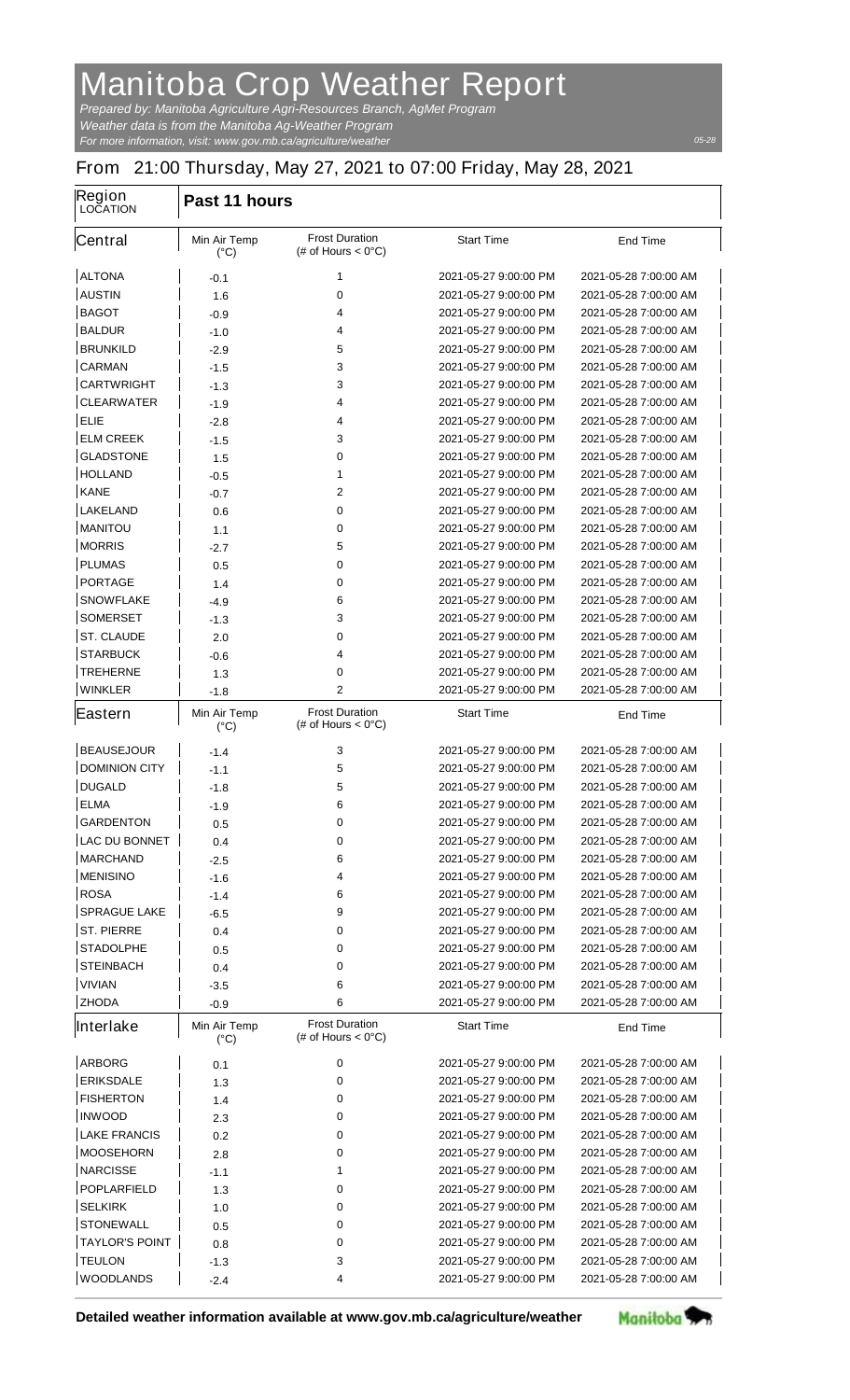## **Manitoba Crop Weather Report**

*For more information, visit: www.gov.mb.ca/agriculture/weather Prepared by: Manitoba Agriculture Agri-Resources Branch, AgMet Program Weather data is from the Manitoba Ag-Weather Program*

## **From 21:00 Thursday, May 27, 2021 to 07:00 Friday, May 28, 2021**

| <b>Region</b><br><b>LOCATION</b> | Past 11 hours                        |                                                       |                       |                       |  |
|----------------------------------|--------------------------------------|-------------------------------------------------------|-----------------------|-----------------------|--|
| <b>Central</b>                   | <b>Min Air Temp</b><br>$(^{\circ}C)$ | <b>Frost Duration</b><br>(# of Hours $< 0^{\circ}$ C) | <b>Start Time</b>     | <b>End Time</b>       |  |
| <b>ALTONA</b>                    | -0.1                                 | 1                                                     | 2021-05-27 9:00:00 PM | 2021-05-28 7:00:00 AM |  |
| <b>AUSTIN</b>                    | 1.6                                  | 0                                                     | 2021-05-27 9:00:00 PM | 2021-05-28 7:00:00 AM |  |
| <b>BAGOT</b>                     | $-0.9$                               | 4                                                     | 2021-05-27 9:00:00 PM | 2021-05-28 7:00:00 AM |  |
| <b>BALDUR</b>                    | $-1.0$                               | 4                                                     | 2021-05-27 9:00:00 PM | 2021-05-28 7:00:00 AM |  |
| <b>BRUNKILD</b>                  | $-2.9$                               | 5                                                     | 2021-05-27 9:00:00 PM | 2021-05-28 7:00:00 AM |  |
| <b>CARMAN</b>                    | $-1.5$                               | 3                                                     | 2021-05-27 9:00:00 PM | 2021-05-28 7:00:00 AM |  |
| <b>CARTWRIGHT</b>                | $-1.3$                               | 3                                                     | 2021-05-27 9:00:00 PM | 2021-05-28 7:00:00 AM |  |
| <b>CLEARWATER</b>                | $-1.9$                               | 4                                                     | 2021-05-27 9:00:00 PM | 2021-05-28 7:00:00 AM |  |
| <b>ELIE</b>                      | $-2.8$                               | 4                                                     | 2021-05-27 9:00:00 PM | 2021-05-28 7:00:00 AM |  |
| <b>ELM CREEK</b>                 | $-1.5$                               | 3                                                     | 2021-05-27 9:00:00 PM | 2021-05-28 7:00:00 AM |  |
| <b>GLADSTONE</b>                 | 1.5                                  | 0                                                     | 2021-05-27 9:00:00 PM | 2021-05-28 7:00:00 AM |  |
| <b>HOLLAND</b>                   | $-0.5$                               | 1                                                     | 2021-05-27 9:00:00 PM | 2021-05-28 7:00:00 AM |  |
| <b>KANE</b>                      | $-0.7$                               | 2                                                     | 2021-05-27 9:00:00 PM | 2021-05-28 7:00:00 AM |  |
| <b>LAKELAND</b>                  | 0.6                                  | 0                                                     | 2021-05-27 9:00:00 PM | 2021-05-28 7:00:00 AM |  |
| <b>MANITOU</b>                   | 1.1                                  | 0                                                     | 2021-05-27 9:00:00 PM | 2021-05-28 7:00:00 AM |  |
| <b>MORRIS</b>                    | -2.7                                 | 5                                                     | 2021-05-27 9:00:00 PM | 2021-05-28 7:00:00 AM |  |
| <b>PLUMAS</b>                    | 0.5                                  | 0                                                     | 2021-05-27 9:00:00 PM | 2021-05-28 7:00:00 AM |  |
| <b>PORTAGE</b>                   | 1.4                                  | 0                                                     | 2021-05-27 9:00:00 PM | 2021-05-28 7:00:00 AM |  |
| <b>SNOWFLAKE</b>                 | $-4.9$                               | 6                                                     | 2021-05-27 9:00:00 PM | 2021-05-28 7:00:00 AM |  |
| <b>SOMERSET</b>                  | $-1.3$                               | 3                                                     | 2021-05-27 9:00:00 PM | 2021-05-28 7:00:00 AM |  |
| <b>ST. CLAUDE</b>                | 2.0                                  | 0                                                     | 2021-05-27 9:00:00 PM | 2021-05-28 7:00:00 AM |  |
| <b>STARBUCK</b>                  | -0.6                                 | 4                                                     | 2021-05-27 9:00:00 PM | 2021-05-28 7:00:00 AM |  |
| <b>TREHERNE</b>                  | 1.3                                  | 0                                                     | 2021-05-27 9:00:00 PM | 2021-05-28 7:00:00 AM |  |
| <b>WINKLER</b>                   | -1.8                                 | $\mathbf{2}$                                          | 2021-05-27 9:00:00 PM | 2021-05-28 7:00:00 AM |  |
| <b>Eastern</b>                   | <b>Min Air Temp</b><br>$(^{\circ}C)$ | <b>Frost Duration</b><br>(# of Hours $< 0^{\circ}$ C) | <b>Start Time</b>     | <b>End Time</b>       |  |
| <b>BEAUSEJOUR</b>                | $-1.4$                               | 3                                                     | 2021-05-27 9:00:00 PM | 2021-05-28 7:00:00 AM |  |
| <b>DOMINION CITY</b>             | $-1.1$                               | 5                                                     | 2021-05-27 9:00:00 PM | 2021-05-28 7:00:00 AM |  |
| <b>DUGALD</b>                    | -1.8                                 | 5                                                     | 2021-05-27 9:00:00 PM | 2021-05-28 7:00:00 AM |  |
| <b>ELMA</b>                      | -1.9                                 | 6                                                     | 2021-05-27 9:00:00 PM | 2021-05-28 7:00:00 AM |  |
| <b>GARDENTON</b>                 | 0.5                                  | 0                                                     | 2021-05-27 9:00:00 PM | 2021-05-28 7:00:00 AM |  |
| <b>LAC DU BONNET</b>             | 0.4                                  | 0                                                     | 2021-05-27 9:00:00 PM | 2021-05-28 7:00:00 AM |  |
| <b>MARCHAND</b>                  | -2.5                                 | 6                                                     | 2021-05-27 9:00:00 PM | 2021-05-28 7:00:00 AM |  |
| <b>MENISINO</b>                  | -1.6                                 | 4                                                     | 2021-05-27 9:00:00 PM | 2021-05-28 7:00:00 AM |  |
| <b>ROSA</b>                      | $-1.4$                               | 6                                                     | 2021-05-27 9:00:00 PM | 2021-05-28 7:00:00 AM |  |
| <b>SPRAGUE LAKE</b>              | -6.5                                 | 9                                                     | 2021-05-27 9:00:00 PM | 2021-05-28 7:00:00 AM |  |
| <b>ST. PIERRE</b>                | 0.4                                  | 0                                                     | 2021-05-27 9:00:00 PM | 2021-05-28 7:00:00 AM |  |
| <b>STADOLPHE</b>                 | 0.5                                  | 0                                                     | 2021-05-27 9:00:00 PM | 2021-05-28 7:00:00 AM |  |
| <b>STEINBACH</b>                 | 0.4                                  | 0                                                     | 2021-05-27 9:00:00 PM | 2021-05-28 7:00:00 AM |  |
| <b>VIVIAN</b>                    | $-3.5$                               | 6                                                     | 2021-05-27 9:00:00 PM | 2021-05-28 7:00:00 AM |  |
| <b>ZHODA</b>                     | $-0.9$                               | 6                                                     | 2021-05-27 9:00:00 PM | 2021-05-28 7:00:00 AM |  |
| Interlake                        | <b>Min Air Temp</b><br>$(^{\circ}C)$ | <b>Frost Duration</b><br>(# of Hours $< 0^{\circ}$ C) | <b>Start Time</b>     | <b>End Time</b>       |  |
| <b>ARBORG</b>                    | 0.1                                  | 0                                                     | 2021-05-27 9:00:00 PM | 2021-05-28 7:00:00 AM |  |
| <b>ERIKSDALE</b>                 | 1.3                                  | 0                                                     | 2021-05-27 9:00:00 PM | 2021-05-28 7:00:00 AM |  |
| <b>FISHERTON</b>                 | 1.4                                  | 0                                                     | 2021-05-27 9:00:00 PM | 2021-05-28 7:00:00 AM |  |
| <b>INWOOD</b>                    | 2.3                                  | 0                                                     | 2021-05-27 9:00:00 PM | 2021-05-28 7:00:00 AM |  |
| <b>LAKE FRANCIS</b>              | 0.2                                  | 0                                                     | 2021-05-27 9:00:00 PM | 2021-05-28 7:00:00 AM |  |
| <b>MOOSEHORN</b>                 | 2.8                                  | 0                                                     | 2021-05-27 9:00:00 PM | 2021-05-28 7:00:00 AM |  |
| <b>NARCISSE</b>                  | -1.1                                 | 1                                                     | 2021-05-27 9:00:00 PM | 2021-05-28 7:00:00 AM |  |
| <b>POPLARFIELD</b>               | 1.3                                  | 0                                                     | 2021-05-27 9:00:00 PM | 2021-05-28 7:00:00 AM |  |
| <b>SELKIRK</b>                   | 1.0                                  | 0                                                     | 2021-05-27 9:00:00 PM | 2021-05-28 7:00:00 AM |  |
| <b>STONEWALL</b>                 | 0.5                                  | 0                                                     | 2021-05-27 9:00:00 PM | 2021-05-28 7:00:00 AM |  |
| <b>TAYLOR'S POINT</b>            | 0.8                                  | 0                                                     | 2021-05-27 9:00:00 PM | 2021-05-28 7:00:00 AM |  |
| <b>TEULON</b>                    | -1.3                                 | 3                                                     | 2021-05-27 9:00:00 PM | 2021-05-28 7:00:00 AM |  |
| <b>WOODLANDS</b>                 | -2.4                                 | 4                                                     | 2021-05-27 9:00:00 PM | 2021-05-28 7:00:00 AM |  |
|                                  |                                      |                                                       |                       |                       |  |

**Detailed weather information available at www.gov.mb.ca/agriculture/weather**